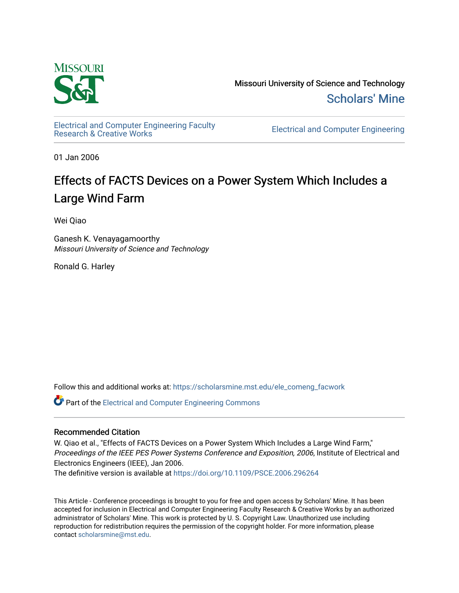

Missouri University of Science and Technology [Scholars' Mine](https://scholarsmine.mst.edu/) 

[Electrical and Computer Engineering Faculty](https://scholarsmine.mst.edu/ele_comeng_facwork)

**Electrical and Computer Engineering** 

01 Jan 2006

## Effects of FACTS Devices on a Power System Which Includes a Large Wind Farm

Wei Qiao

Ganesh K. Venayagamoorthy Missouri University of Science and Technology

Ronald G. Harley

Follow this and additional works at: [https://scholarsmine.mst.edu/ele\\_comeng\\_facwork](https://scholarsmine.mst.edu/ele_comeng_facwork?utm_source=scholarsmine.mst.edu%2Fele_comeng_facwork%2F996&utm_medium=PDF&utm_campaign=PDFCoverPages)

**C** Part of the Electrical and Computer Engineering Commons

### Recommended Citation

W. Qiao et al., "Effects of FACTS Devices on a Power System Which Includes a Large Wind Farm," Proceedings of the IEEE PES Power Systems Conference and Exposition, 2006, Institute of Electrical and Electronics Engineers (IEEE), Jan 2006.

The definitive version is available at <https://doi.org/10.1109/PSCE.2006.296264>

This Article - Conference proceedings is brought to you for free and open access by Scholars' Mine. It has been accepted for inclusion in Electrical and Computer Engineering Faculty Research & Creative Works by an authorized administrator of Scholars' Mine. This work is protected by U. S. Copyright Law. Unauthorized use including reproduction for redistribution requires the permission of the copyright holder. For more information, please contact [scholarsmine@mst.edu](mailto:scholarsmine@mst.edu).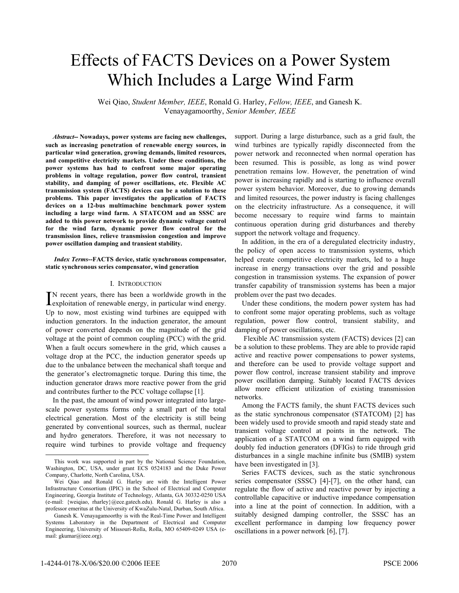# Effects of FACTS Devices on a Power System Which Includes a Large Wind Farm

Wei Qiao, *Student Member, IEEE*, Ronald G. Harley, *Fellow, IEEE*, and Ganesh K. Venayagamoorthy, *Senior Member, IEEE*

*Abstract***-- Nowadays, power systems are facing new challenges, such as increasing penetration of renewable energy sources, in particular wind generation, growing demands, limited resources, and competitive electricity markets. Under these conditions, the power systems has had to confront some major operating problems in voltage regulation, power flow control, transient stability, and damping of power oscillations, etc. Flexible AC transmission system (FACTS) devices can be a solution to these problems. This paper investigates the application of FACTS devices on a 12-bus multimachine benchmark power system including a large wind farm. A STATCOM and an SSSC are added to this power network to provide dynamic voltage control for the wind farm, dynamic power flow control for the transmission lines, relieve transmission congestion and improve power oscillation damping and transient stability.** 

#### *Index Terms***--FACTS device, static synchronous compensator, static synchronous series compensator, wind generation**

#### I. INTRODUCTION

N recent years, there has been a worldwide growth in the  $\prod$ N recent years, there has been a worldwide growth in the exploitation of renewable energy, in particular wind energy. Up to now, most existing wind turbines are equipped with induction generators. In the induction generator, the amount of power converted depends on the magnitude of the grid voltage at the point of common coupling (PCC) with the grid. When a fault occurs somewhere in the grid, which causes a voltage drop at the PCC, the induction generator speeds up due to the unbalance between the mechanical shaft torque and the generator's electromagnetic torque. During this time, the induction generator draws more reactive power from the grid and contributes further to the PCC voltage collapse [1].

In the past, the amount of wind power integrated into largescale power systems forms only a small part of the total electrical generation. Most of the electricity is still being generated by conventional sources, such as thermal, nuclear and hydro generators. Therefore, it was not necessary to require wind turbines to provide voltage and frequency support. During a large disturbance, such as a grid fault, the wind turbines are typically rapidly disconnected from the power network and reconnected when normal operation has been resumed. This is possible, as long as wind power penetration remains low. However, the penetration of wind power is increasing rapidly and is starting to influence overall power system behavior. Moreover, due to growing demands and limited resources, the power industry is facing challenges on the electricity infrastructure. As a consequence, it will become necessary to require wind farms to maintain continuous operation during grid disturbances and thereby support the network voltage and frequency.

In addition, in the era of a deregulated electricity industry, the policy of open access to transmission systems, which helped create competitive electricity markets, led to a huge increase in energy transactions over the grid and possible congestion in transmission systems. The expansion of power transfer capability of transmission systems has been a major problem over the past two decades.

Under these conditions, the modern power system has had to confront some major operating problems, such as voltage regulation, power flow control, transient stability, and damping of power oscillations, etc.

 Flexible AC transmission system (FACTS) devices [2] can be a solution to these problems. They are able to provide rapid active and reactive power compensations to power systems, and therefore can be used to provide voltage support and power flow control, increase transient stability and improve power oscillation damping. Suitably located FACTS devices allow more efficient utilization of existing transmission networks.

 Among the FACTS family, the shunt FACTS devices such as the static synchronous compensator (STATCOM) [2] has been widely used to provide smooth and rapid steady state and transient voltage control at points in the network. The application of a STATCOM on a wind farm equipped with doubly fed induction generators (DFIGs) to ride through grid disturbances in a single machine infinite bus (SMIB) system have been investigated in [3].

 Series FACTS devices, such as the static synchronous series compensator (SSSC) [4]-[7], on the other hand, can regulate the flow of active and reactive power by injecting a controllable capacitive or inductive impedance compensation into a line at the point of connection. In addition, with a suitably designed damping controller, the SSSC has an excellent performance in damping low frequency power oscillations in a power network [6], [7].

This work was supported in part by the National Science Foundation, Washington, DC, USA, under grant ECS 0524183 and the Duke Power Company, Charlotte, North Carolina, USA.

Wei Qiao and Ronald G. Harley are with the Intelligent Power Infrastructure Consortium (IPIC) in the School of Electrical and Computer Engineering, Georgia Institute of Technology, Atlanta, GA 30332-0250 USA (e-mail: {weiqiao, rharley}@ece.gatech.edu). Ronald G. Harley is also a professor emeritus at the University of KwaZulu-Natal, Durban, South Africa.

Ganesh K. Venayagamoorthy is with the Real-Time Power and Intelligent Systems Laboratory in the Department of Electrical and Computer Engineering, University of Missouri-Rolla, Rolla, MO 65409-0249 USA (email: gkumar@ieee.org).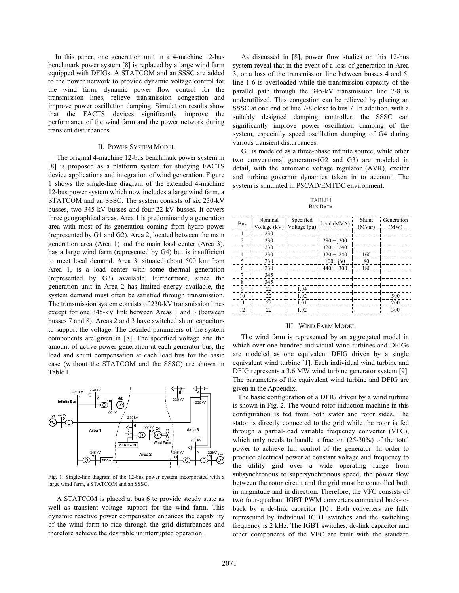In this paper, one generation unit in a 4-machine 12-bus benchmark power system [8] is replaced by a large wind farm equipped with DFIGs. A STATCOM and an SSSC are added to the power network to provide dynamic voltage control for the wind farm, dynamic power flow control for the transmission lines, relieve transmission congestion and improve power oscillation damping. Simulation results show that the FACTS devices significantly improve the performance of the wind farm and the power network during transient disturbances.

#### II. POWER SYSTEM MODEL

The original 4-machine 12-bus benchmark power system in [8] is proposed as a platform system for studying FACTS device applications and integration of wind generation. Figure 1 shows the single-line diagram of the extended 4-machine 12-bus power system which now includes a large wind farm, a STATCOM and an SSSC. The system consists of six 230-kV busses, two 345-kV busses and four 22-kV busses. It covers three geographical areas. Area 1 is predominantly a generation area with most of its generation coming from hydro power (represented by G1 and G2). Area 2, located between the main generation area (Area 1) and the main load center (Area 3), has a large wind farm (represented by G4) but is insufficient to meet local demand. Area 3, situated about 500 km from Area 1, is a load center with some thermal generation (represented by G3) available. Furthermore, since the generation unit in Area 2 has limited energy available, the system demand must often be satisfied through transmission. The transmission system consists of 230-kV transmission lines except for one 345-kV link between Areas 1 and 3 (between busses 7 and 8). Areas 2 and 3 have switched shunt capacitors to support the voltage. The detailed parameters of the system components are given in [8]. The specified voltage and the amount of active power generation at each generator bus, the load and shunt compensation at each load bus for the basic case (without the STATCOM and the SSSC) are shown in Table I.



Fig. 1. Single-line diagram of the 12-bus power system incorporated with a large wind farm, a STATCOM and an SSSC.

A STATCOM is placed at bus 6 to provide steady state as well as transient voltage support for the wind farm. This dynamic reactive power compensator enhances the capability of the wind farm to ride through the grid disturbances and therefore achieve the desirable uninterrupted operation.

As discussed in [8], power flow studies on this 12-bus system reveal that in the event of a loss of generation in Area 3, or a loss of the transmission line between busses 4 and 5, line 1-6 is overloaded while the transmission capacity of the parallel path through the 345-kV transmission line 7-8 is underutilized. This congestion can be relieved by placing an SSSC at one end of line 7-8 close to bus 7. In addition, with a suitably designed damping controller, the SSSC can significantly improve power oscillation damping of the system, especially speed oscillation damping of G4 during various transient disturbances.

G1 is modeled as a three-phase infinite source, while other two conventional generators(G2 and G3) are modeled in detail, with the automatic voltage regulator (AVR), exciter and turbine governor dynamics taken in to account. The system is simulated in PSCAD/EMTDC environment.

#### TABLE I BUS DATA

|     | Nominal                   | Specified |              | Shunt  | Generation |
|-----|---------------------------|-----------|--------------|--------|------------|
| Bus | Voltage (kV) Voltage (pu) |           | Load (MVA)   | (MVar) | (MW)       |
|     | 230                       |           |              |        |            |
|     | 230                       |           | $280 + j200$ |        |            |
|     | 230                       |           | $320 + i240$ |        |            |
| 4   | 230                       |           | $320 + i240$ | 160    |            |
|     | 230                       |           | $100+160$    | 80     |            |
| 6   | 230                       |           | $440 + j300$ | 180    |            |
|     | 345                       |           |              |        |            |
| 8   | 345                       |           |              |        |            |
| 9   | 22                        | 1.04      |              |        |            |
| 10  | 22                        | 1.02      |              |        | 500        |
| 11  | 22                        | 1.01      |              |        | 200        |
| 12  | 22                        | 1.02      |              |        | 300        |

#### III. WIND FARM MODEL

The wind farm is represented by an aggregated model in which over one hundred individual wind turbines and DFIGs are modeled as one equivalent DFIG driven by a single equivalent wind turbine [1]. Each individual wind turbine and DFIG represents a 3.6 MW wind turbine generator system [9]. The parameters of the equivalent wind turbine and DFIG are given in the Appendix.

The basic configuration of a DFIG driven by a wind turbine is shown in Fig. 2. The wound-rotor induction machine in this configuration is fed from both stator and rotor sides. The stator is directly connected to the grid while the rotor is fed through a partial-load variable frequency converter (VFC), which only needs to handle a fraction (25-30%) of the total power to achieve full control of the generator. In order to produce electrical power at constant voltage and frequency to the utility grid over a wide operating range from subsynchronous to supersynchronous speed, the power flow between the rotor circuit and the grid must be controlled both in magnitude and in direction. Therefore, the VFC consists of two four-quadrant IGBT PWM converters connected back-toback by a dc-link capacitor [10]. Both converters are fully represented by individual IGBT switches and the switching frequency is 2 kHz. The IGBT switches, dc-link capacitor and other components of the VFC are built with the standard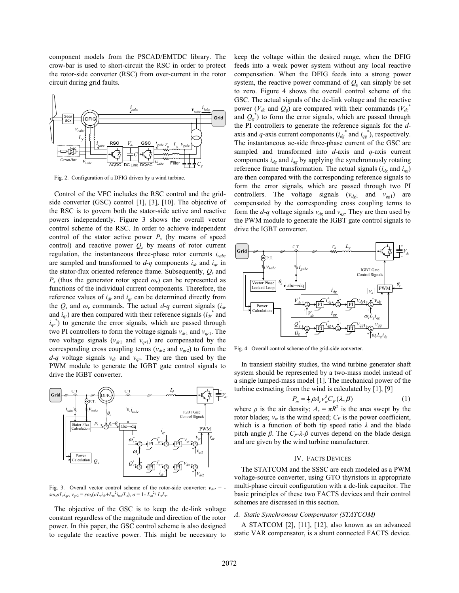component models from the PSCAD/EMTDC library. The crow-bar is used to short-circuit the RSC in order to protect the rotor-side converter (RSC) from over-current in the rotor circuit during grid faults.



Fig. 2. Configuration of a DFIG driven by a wind turbine.

Control of the VFC includes the RSC control and the gridside converter (GSC) control [1], [3], [10]. The objective of the RSC is to govern both the stator-side active and reactive powers independently. Figure 3 shows the overall vector control scheme of the RSC. In order to achieve independent control of the stator active power  $P<sub>s</sub>$  (by means of speed control) and reactive power  $Q_s$  by means of rotor current regulation, the instantaneous three-phase rotor currents *irabc* are sampled and transformed to  $d-q$  components  $i_{dr}$  and  $i_{qr}$  in the stator-flux oriented reference frame. Subsequently, *Qs* and  $P_s$  (thus the generator rotor speed  $\omega_r$ ) can be represented as functions of the individual current components. Therefore, the reference values of  $i_{dr}$  and  $i_{qr}$  can be determined directly from the  $Q_s$  and  $\omega_r$  commands. The actual  $d-q$  current signals ( $i_{dr}$ and  $i_{qr}$ ) are then compared with their reference signals  $(i_{dr}^*$  and  $i_{qr}$ <sup>\*</sup>) to generate the error signals, which are passed through two PI controllers to form the voltage signals  $v_{dr1}$  and  $v_{qr1}$ . The two voltage signals  $(v_{dr1}$  and  $v_{qr1})$  are compensated by the corresponding cross coupling terms  $(v_{dr2}$  and  $v_{qr2})$  to form the  $d-q$  voltage signals  $v_{dr}$  and  $v_{qr}$ . They are then used by the PWM module to generate the IGBT gate control signals to drive the IGBT converter.



Fig. 3. Overall vector control scheme of the rotor-side converter:  $v_{dr2}$  =  $s\omega_s \sigma L_r i_{qr}, v_{qr2} = s\omega_s (\sigma L_r i_{dr} + L_m^2 i_{ms}/L_s), \sigma = 1 - L_m^2 / L_s L_r.$ 

The objective of the GSC is to keep the dc-link voltage constant regardless of the magnitude and direction of the rotor power. In this paper, the GSC control scheme is also designed to regulate the reactive power. This might be necessary to keep the voltage within the desired range, when the DFIG feeds into a weak power system without any local reactive compensation. When the DFIG feeds into a strong power system, the reactive power command of  $Q_g$  can simply be set to zero. Figure 4 shows the overall control scheme of the GSC. The actual signals of the dc-link voltage and the reactive power ( $V_{dc}$  and  $Q_g$ ) are compared with their commands ( $V_{dc}$ <sup>\*</sup> and  $Q_g^*$ ) to form the error signals, which are passed through the PI controllers to generate the reference signals for the *d*axis and *q*-axis current components  $(i_{dg}^*$  and  $i_{gg}^*$ ), respectively. The instantaneous ac-side three-phase current of the GSC are sampled and transformed into *d*-axis and *q*-axis current components  $i_{dg}$  and  $i_{gg}$  by applying the synchronously rotating reference frame transformation. The actual signals  $(i_{dg}$  and  $i_{gg}$ ) are then compared with the corresponding reference signals to form the error signals, which are passed through two PI controllers. The voltage signals  $(v_{dq1}$  and  $v_{qg1}$  are compensated by the corresponding cross coupling terms to form the  $d$ -*q* voltage signals  $v_{dg}$  and  $v_{gg}$ . They are then used by the PWM module to generate the IGBT gate control signals to drive the IGBT converter.



Fig. 4. Overall control scheme of the grid-side converter.

In transient stability studies, the wind turbine generator shaft system should be represented by a two-mass model instead of a single lumped-mass model [1]. The mechanical power of the turbine extracting from the wind is calculated by [1], [9]

$$
P_m = \frac{1}{2} \rho A_r v_w^3 C_P(\lambda, \beta) \tag{1}
$$

where  $\rho$  is the air density;  $A_r = \pi R^2$  is the area swept by the rotor blades;  $v_w$  is the wind speed;  $C_P$  is the power coefficient, which is a function of both tip speed ratio  $\lambda$  and the blade pitch angle  $\beta$ . The  $C_P \lambda \beta$  curves depend on the blade design and are given by the wind turbine manufacturer.

#### IV. FACTS DEVICES

The STATCOM and the SSSC are each modeled as a PWM voltage-source converter, using GTO thyristors in appropriate multi-phase circuit configuration with a dc-link capacitor. The basic principles of these two FACTS devices and their control schemes are discussed in this section.

#### *A. Static Synchronous Compensator (STATCOM)*

A STATCOM [2], [11], [12], also known as an advanced static VAR compensator, is a shunt connected FACTS device.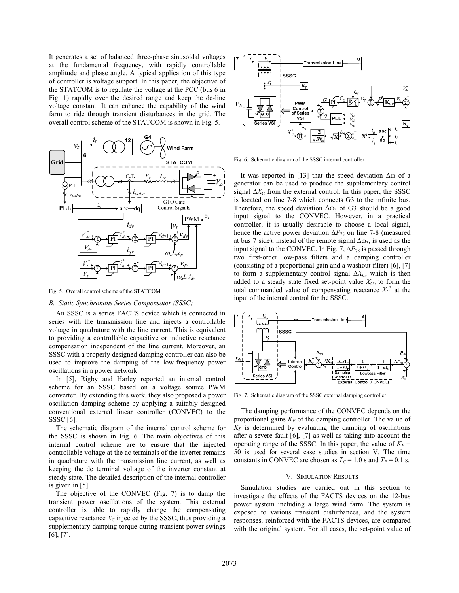It generates a set of balanced three-phase sinusoidal voltages at the fundamental frequency, with rapidly controllable amplitude and phase angle. A typical application of this type of controller is voltage support. In this paper, the objective of the STATCOM is to regulate the voltage at the PCC (bus 6 in Fig. 1) rapidly over the desired range and keep the dc-line voltage constant. It can enhance the capability of the wind farm to ride through transient disturbances in the grid. The overall control scheme of the STATCOM is shown in Fig. 5.



Fig. 5. Overall control scheme of the STATCOM

#### *B. Static Synchronous Series Compensator (SSSC)*

An SSSC is a series FACTS device which is connected in series with the transmission line and injects a controllable voltage in quadrature with the line current. This is equivalent to providing a controllable capacitive or inductive reactance compensation independent of the line current. Moreover, an SSSC with a properly designed damping controller can also be used to improve the damping of the low-frequency power oscillations in a power network.

In [5], Rigby and Harley reported an internal control scheme for an SSSC based on a voltage source PWM converter. By extending this work, they also proposed a power oscillation damping scheme by applying a suitably designed conventional external linear controller (CONVEC) to the SSSC [6].

The schematic diagram of the internal control scheme for the SSSC is shown in Fig. 6. The main objectives of this internal control scheme are to ensure that the injected controllable voltage at the ac terminals of the inverter remains in quadrature with the transmission line current, as well as keeping the dc terminal voltage of the inverter constant at steady state. The detailed description of the internal controller is given in [5].

The objective of the CONVEC (Fig. 7) is to damp the transient power oscillations of the system. This external controller is able to rapidly change the compensating capacitive reactance  $X<sub>C</sub>$  injected by the SSSC, thus providing a supplementary damping torque during transient power swings [6], [7].



Fig. 6. Schematic diagram of the SSSC internal controller

It was reported in [13] that the speed deviation  $\Delta\omega$  of a generator can be used to produce the supplementary control signal  $\Delta X_C$  from the external control. In this paper, the SSSC is located on line 7-8 which connects G3 to the infinite bus. Therefore, the speed deviation  $\Delta\omega_3$  of G3 should be a good input signal to the CONVEC. However, in a practical controller, it is usually desirable to choose a local signal, hence the active power deviation  $\Delta P_{78}$  on line 7-8 (measured at bus 7 side), instead of the remote signal  $\Delta\omega_3$ , is used as the input signal to the CONVEC. In Fig. 7,  $\Delta P_{78}$  is passed through two first-order low-pass filters and a damping controller (consisting of a proportional gain and a washout filter) [6], [7] to form a supplementary control signal  $\Delta X_C$ , which is then added to a steady state fixed set-point value  $X_{C0}$  to form the total commanded value of compensating reactance  $X_c^*$  at the input of the internal control for the SSSC.



Fig. 7. Schematic diagram of the SSSC external damping controller

The damping performance of the CONVEC depends on the proportional gains  $K_P$  of the damping controller. The value of  $K_P$  is determined by evaluating the damping of oscillations after a severe fault [6], [7] as well as taking into account the operating range of the SSSC. In this paper, the value of  $K_P$  = 50 is used for several case studies in section V. The time constants in CONVEC are chosen as  $T_c = 1.0$  s and  $T_p = 0.1$  s.

#### V. SIMULATION RESULTS

Simulation studies are carried out in this section to investigate the effects of the FACTS devices on the 12-bus power system including a large wind farm. The system is exposed to various transient disturbances, and the system responses, reinforced with the FACTS devices, are compared with the original system. For all cases, the set-point value of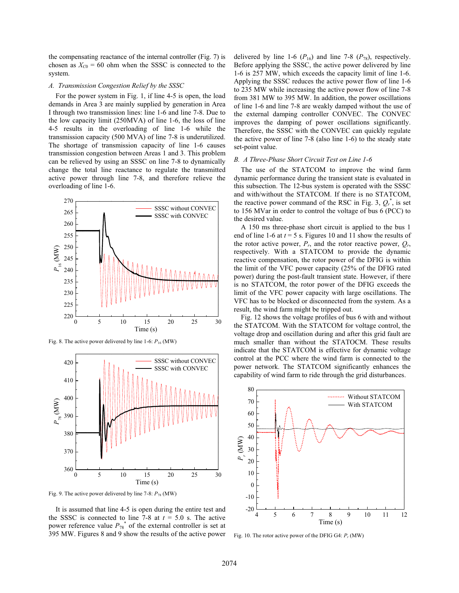the compensating reactance of the internal controller (Fig. 7) is chosen as  $X_{C0} = 60$  ohm when the SSSC is connected to the system.

#### *A. Transmission Congestion Relief by the SSSC*

For the power system in Fig. 1, if line 4-5 is open, the load demands in Area 3 are mainly supplied by generation in Area I through two transmission lines: line 1-6 and line 7-8. Due to the low capacity limit (250MVA) of line 1-6, the loss of line 4-5 results in the overloading of line 1-6 while the transmission capacity (500 MVA) of line 7-8 is underutilized. The shortage of transmission capacity of line 1-6 causes transmission congestion between Areas 1 and 3. This problem can be relieved by using an SSSC on line 7-8 to dynamically change the total line reactance to regulate the transmitted active power through line 7-8, and therefore relieve the overloading of line 1-6.



Fig. 8. The active power delivered by line 1-6: *P*16 (MW)



Fig. 9. The active power delivered by line 7-8: *P*78 (MW)

It is assumed that line 4-5 is open during the entire test and the SSSC is connected to line 7-8 at  $t = 5.0$  s. The active power reference value  $P_{78}^*$  of the external controller is set at 395 MW. Figures 8 and 9 show the results of the active power

delivered by line 1-6  $(P_{16})$  and line 7-8  $(P_{78})$ , respectively. Before applying the SSSC, the active power delivered by line 1-6 is 257 MW, which exceeds the capacity limit of line 1-6. Applying the SSSC reduces the active power flow of line 1-6 to 235 MW while increasing the active power flow of line 7-8 from 381 MW to 395 MW. In addition, the power oscillations of line 1-6 and line 7-8 are weakly damped without the use of the external damping controller CONVEC. The CONVEC improves the damping of power oscillations significantly. Therefore, the SSSC with the CONVEC can quickly regulate the active power of line 7-8 (also line 1-6) to the steady state set-point value.

#### *B. A Three-Phase Short Circuit Test on Line 1-6*

The use of the STATCOM to improve the wind farm dynamic performance during the transient state is evaluated in this subsection. The 12-bus system is operated with the SSSC and with/without the STATCOM. If there is no STATCOM, the reactive power command of the RSC in Fig. 3,  $Q_r^*$ , is set to 156 MVar in order to control the voltage of bus 6 (PCC) to the desired value.

A 150 ms three-phase short circuit is applied to the bus 1 end of line 1-6 at  $t = 5$  s. Figures 10 and 11 show the results of the rotor active power,  $P_r$ , and the rotor reactive power,  $Q_r$ , respectively. With a STATCOM to provide the dynamic reactive compensation, the rotor power of the DFIG is within the limit of the VFC power capacity (25% of the DFIG rated power) during the post-fault transient state. However, if there is no STATCOM, the rotor power of the DFIG exceeds the limit of the VFC power capacity with large oscillations. The VFC has to be blocked or disconnected from the system. As a result, the wind farm might be tripped out.

Fig. 12 shows the voltage profiles of bus 6 with and without the STATCOM. With the STATCOM for voltage control, the voltage drop and oscillation during and after this grid fault are much smaller than without the STATOCM. These results indicate that the STATCOM is effective for dynamic voltage control at the PCC where the wind farm is connected to the power network. The STATCOM significantly enhances the capability of wind farm to ride through the grid disturbances.



Fig. 10. The rotor active power of the DFIG G4: *Pr* (MW)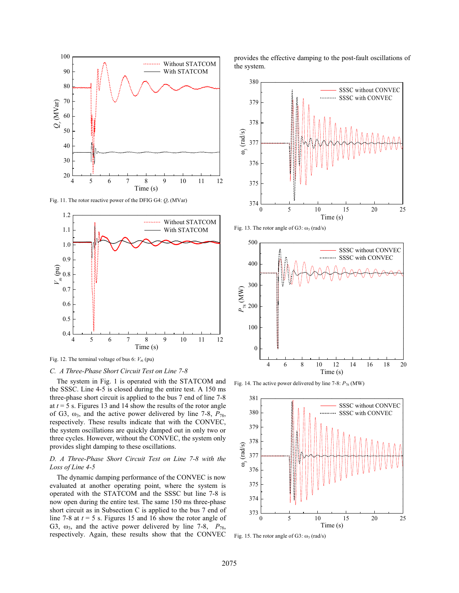

Fig. 11. The rotor reactive power of the DFIG G4: *Qr* (MVar)



Fig. 12. The terminal voltage of bus 6:  $V_{16}$  (pu)

#### *C. A Three-Phase Short Circuit Test on Line 7-8*

The system in Fig. 1 is operated with the STATCOM and the SSSC. Line 4-5 is closed during the entire test. A 150 ms three-phase short circuit is applied to the bus 7 end of line 7-8 at *t* = 5 s. Figures 13 and 14 show the results of the rotor angle of G3,  $\omega_3$ , and the active power delivered by line 7-8,  $P_{78}$ , respectively. These results indicate that with the CONVEC, the system oscillations are quickly damped out in only two or three cycles. However, without the CONVEC, the system only provides slight damping to these oscillations.

#### *D. A Three-Phase Short Circuit Test on Line 7-8 with the Loss of Line 4-5*

The dynamic damping performance of the CONVEC is now evaluated at another operating point, where the system is operated with the STATCOM and the SSSC but line 7-8 is now open during the entire test. The same 150 ms three-phase short circuit as in Subsection C is applied to the bus 7 end of line 7-8 at *t* = 5 s. Figures 15 and 16 show the rotor angle of G3,  $\omega_3$ , and the active power delivered by line 7-8,  $P_{78}$ , respectively. Again, these results show that the CONVEC provides the effective damping to the post-fault oscillations of the system.



Fig. 13. The rotor angle of G3:  $\omega_3$  (rad/s)



Fig. 14. The active power delivered by line 7-8: *P*78 (MW)



Fig. 15. The rotor angle of G3:  $\omega_3$  (rad/s)